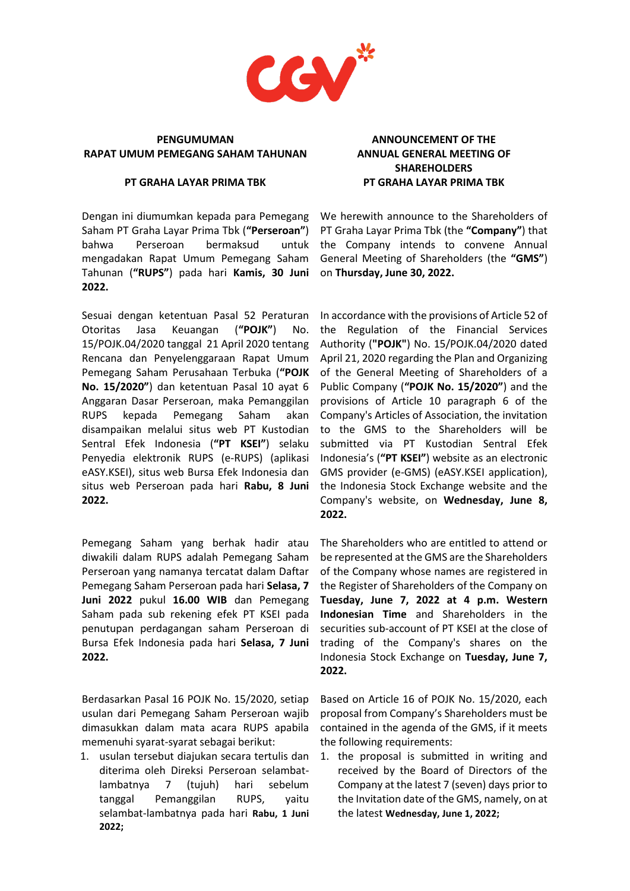

### **PENGUMUMAN RAPAT UMUM PEMEGANG SAHAM TAHUNAN**

#### **PT GRAHA LAYAR PRIMA TBK**

Dengan ini diumumkan kepada para Pemegang Saham PT Graha Layar Prima Tbk (**"Perseroan"**) bahwa Perseroan bermaksud untuk mengadakan Rapat Umum Pemegang Saham Tahunan (**"RUPS"**) pada hari **Kamis, 30 Juni 2022.**

Sesuai dengan ketentuan Pasal 52 Peraturan Otoritas Jasa Keuangan (**"POJK"**) No. 15/POJK.04/2020 tanggal 21 April 2020 tentang Rencana dan Penyelenggaraan Rapat Umum Pemegang Saham Perusahaan Terbuka (**"POJK No. 15/2020"**) dan ketentuan Pasal 10 ayat 6 Anggaran Dasar Perseroan, maka Pemanggilan RUPS kepada Pemegang Saham akan disampaikan melalui situs web PT Kustodian Sentral Efek Indonesia (**"PT KSEI"**) selaku Penyedia elektronik RUPS (e-RUPS) (aplikasi eASY.KSEI), situs web Bursa Efek Indonesia dan situs web Perseroan pada hari **Rabu, 8 Juni 2022.**

Pemegang Saham yang berhak hadir atau diwakili dalam RUPS adalah Pemegang Saham Perseroan yang namanya tercatat dalam Daftar Pemegang Saham Perseroan pada hari **Selasa, 7 Juni 2022** pukul **16.00 WIB** dan Pemegang Saham pada sub rekening efek PT KSEI pada penutupan perdagangan saham Perseroan di Bursa Efek Indonesia pada hari **Selasa, 7 Juni 2022.**

Berdasarkan Pasal 16 POJK No. 15/2020, setiap usulan dari Pemegang Saham Perseroan wajib dimasukkan dalam mata acara RUPS apabila memenuhi syarat-syarat sebagai berikut:

1. usulan tersebut diajukan secara tertulis dan diterima oleh Direksi Perseroan selambatlambatnya 7 (tujuh) hari sebelum tanggal Pemanggilan RUPS, yaitu selambat-lambatnya pada hari **Rabu, 1 Juni 2022;**

# **ANNOUNCEMENT OF THE ANNUAL GENERAL MEETING OF SHAREHOLDERS PT GRAHA LAYAR PRIMA TBK**

We herewith announce to the Shareholders of PT Graha Layar Prima Tbk (the **"Company"**) that the Company intends to convene Annual General Meeting of Shareholders (the **"GMS"**) on **Thursday, June 30, 2022.**

In accordance with the provisions of Article 52 of the Regulation of the Financial Services Authority (**"POJK"**) No. 15/POJK.04/2020 dated April 21, 2020 regarding the Plan and Organizing of the General Meeting of Shareholders of a Public Company (**"POJK No. 15/2020"**) and the provisions of Article 10 paragraph 6 of the Company's Articles of Association, the invitation to the GMS to the Shareholders will be submitted via PT Kustodian Sentral Efek Indonesia's (**"PT KSEI"**) website as an electronic GMS provider (e-GMS) (eASY.KSEI application), the Indonesia Stock Exchange website and the Company's website, on **Wednesday, June 8, 2022.**

The Shareholders who are entitled to attend or be represented at the GMS are the Shareholders of the Company whose names are registered in the Register of Shareholders of the Company on **Tuesday, June 7, 2022 at 4 p.m. Western Indonesian Time** and Shareholders in the securities sub-account of PT KSEI at the close of trading of the Company's shares on the Indonesia Stock Exchange on **Tuesday, June 7, 2022.**

Based on Article 16 of POJK No. 15/2020, each proposal from Company's Shareholders must be contained in the agenda of the GMS, if it meets the following requirements:

1. the proposal is submitted in writing and received by the Board of Directors of the Company at the latest 7 (seven) days prior to the Invitation date of the GMS, namely, on at the latest **Wednesday, June 1, 2022;**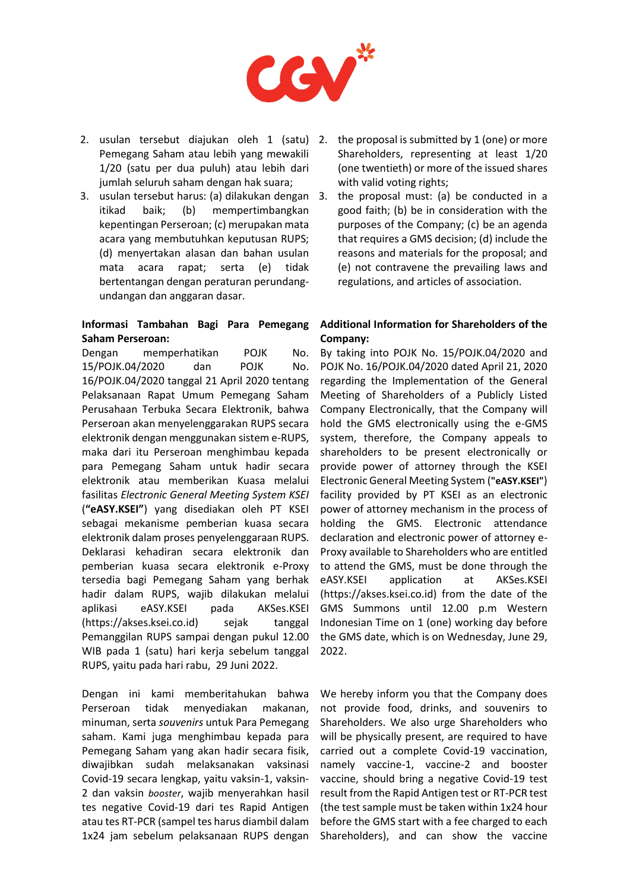

- 2. usulan tersebut diajukan oleh 1 (satu) 2. the proposal is submitted by 1 (one) or more Pemegang Saham atau lebih yang mewakili 1/20 (satu per dua puluh) atau lebih dari jumlah seluruh saham dengan hak suara;
- 3. usulan tersebut harus: (a) dilakukan dengan itikad baik; (b) mempertimbangkan kepentingan Perseroan; (c) merupakan mata acara yang membutuhkan keputusan RUPS; (d) menyertakan alasan dan bahan usulan mata acara rapat; serta (e) tidak bertentangan dengan peraturan perundangundangan dan anggaran dasar.

## **Informasi Tambahan Bagi Para Pemegang Saham Perseroan:**

Dengan memperhatikan POJK No. 15/POJK.04/2020 dan POJK No. 16/POJK.04/2020 tanggal 21 April 2020 tentang Pelaksanaan Rapat Umum Pemegang Saham Perusahaan Terbuka Secara Elektronik, bahwa Perseroan akan menyelenggarakan RUPS secara elektronik dengan menggunakan sistem e-RUPS, maka dari itu Perseroan menghimbau kepada para Pemegang Saham untuk hadir secara elektronik atau memberikan Kuasa melalui fasilitas *Electronic General Meeting System KSEI* (**"eASY.KSEI"**) yang disediakan oleh PT KSEI sebagai mekanisme pemberian kuasa secara elektronik dalam proses penyelenggaraan RUPS. Deklarasi kehadiran secara elektronik dan pemberian kuasa secara elektronik e-Proxy tersedia bagi Pemegang Saham yang berhak hadir dalam RUPS, wajib dilakukan melalui aplikasi eASY.KSEI pada AKSes.KSEI (https://akses.ksei.co.id) sejak tanggal Pemanggilan RUPS sampai dengan pukul 12.00 WIB pada 1 (satu) hari kerja sebelum tanggal RUPS, yaitu pada hari rabu, 29 Juni 2022.

Dengan ini kami memberitahukan bahwa Perseroan tidak menyediakan makanan, minuman, serta *souvenirs* untuk Para Pemegang saham. Kami juga menghimbau kepada para Pemegang Saham yang akan hadir secara fisik, diwajibkan sudah melaksanakan vaksinasi Covid-19 secara lengkap, yaitu vaksin-1, vaksin-2 dan vaksin *booster*, wajib menyerahkan hasil tes negative Covid-19 dari tes Rapid Antigen atau tes RT-PCR (sampel tes harus diambil dalam 1x24 jam sebelum pelaksanaan RUPS dengan

- Shareholders, representing at least 1/20 (one twentieth) or more of the issued shares with valid voting rights;
- the proposal must: (a) be conducted in a good faith; (b) be in consideration with the purposes of the Company; (c) be an agenda that requires a GMS decision; (d) include the reasons and materials for the proposal; and (e) not contravene the prevailing laws and regulations, and articles of association.

## **Additional Information for Shareholders of the Company:**

By taking into POJK No. 15/POJK.04/2020 and POJK No. 16/POJK.04/2020 dated April 21, 2020 regarding the Implementation of the General Meeting of Shareholders of a Publicly Listed Company Electronically, that the Company will hold the GMS electronically using the e-GMS system, therefore, the Company appeals to shareholders to be present electronically or provide power of attorney through the KSEI Electronic General Meeting System (**"eASY.KSEI"**) facility provided by PT KSEI as an electronic power of attorney mechanism in the process of holding the GMS. Electronic attendance declaration and electronic power of attorney e-Proxy available to Shareholders who are entitled to attend the GMS, must be done through the eASY.KSEI application at AKSes.KSEI (https://akses.ksei.co.id) from the date of the GMS Summons until 12.00 p.m Western Indonesian Time on 1 (one) working day before the GMS date, which is on Wednesday, June 29, 2022.

We hereby inform you that the Company does not provide food, drinks, and souvenirs to Shareholders. We also urge Shareholders who will be physically present, are required to have carried out a complete Covid-19 vaccination, namely vaccine-1, vaccine-2 and booster vaccine, should bring a negative Covid-19 test result from the Rapid Antigen test or RT-PCR test (the test sample must be taken within 1x24 hour before the GMS start with a fee charged to each Shareholders), and can show the vaccine